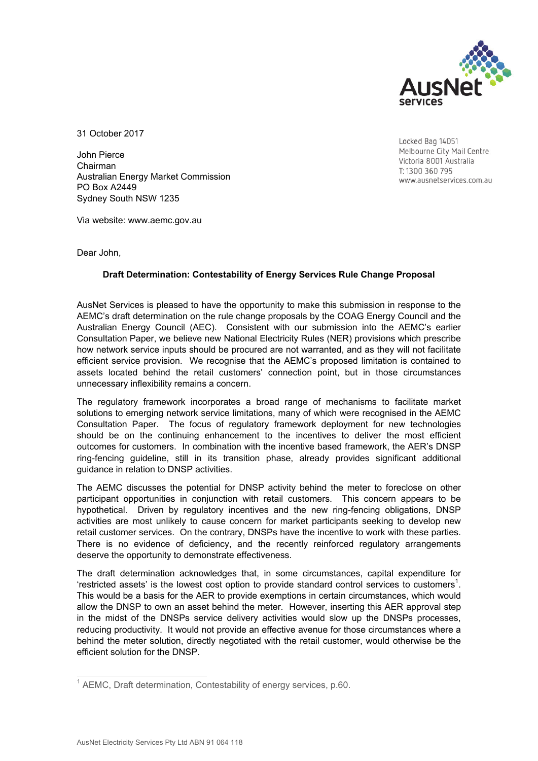

31 October 2017

John Pierce Chairman Australian Energy Market Commission PO Box A2449 Sydney South NSW 1235

Locked Bag 14051 Melbourne City Mail Centre Victoria 8001 Australia T: 1300 360 795 www.ausnetservices.com.au

Via website: www.aemc.gov.au

Dear John,

## **Draft Determination: Contestability of Energy Services Rule Change Proposal**

AusNet Services is pleased to have the opportunity to make this submission in response to the AEMC's draft determination on the rule change proposals by the COAG Energy Council and the Australian Energy Council (AEC). Consistent with our submission into the AEMC's earlier Consultation Paper, we believe new National Electricity Rules (NER) provisions which prescribe how network service inputs should be procured are not warranted, and as they will not facilitate efficient service provision. We recognise that the AEMC's proposed limitation is contained to assets located behind the retail customers' connection point, but in those circumstances unnecessary inflexibility remains a concern.

The regulatory framework incorporates a broad range of mechanisms to facilitate market solutions to emerging network service limitations, many of which were recognised in the AEMC Consultation Paper. The focus of regulatory framework deployment for new technologies should be on the continuing enhancement to the incentives to deliver the most efficient outcomes for customers. In combination with the incentive based framework, the AER's DNSP ring-fencing guideline, still in its transition phase, already provides significant additional guidance in relation to DNSP activities.

The AEMC discusses the potential for DNSP activity behind the meter to foreclose on other participant opportunities in conjunction with retail customers. This concern appears to be hypothetical. Driven by regulatory incentives and the new ring-fencing obligations, DNSP activities are most unlikely to cause concern for market participants seeking to develop new retail customer services. On the contrary, DNSPs have the incentive to work with these parties. There is no evidence of deficiency, and the recently reinforced regulatory arrangements deserve the opportunity to demonstrate effectiveness.

The draft determination acknowledges that, in some circumstances, capital expenditure for 'restricted assets' is the lowest cost option to provide standard control services to customers<sup>1</sup>. This would be a basis for the AER to provide exemptions in certain circumstances, which would allow the DNSP to own an asset behind the meter. However, inserting this AER approval step in the midst of the DNSPs service delivery activities would slow up the DNSPs processes, reducing productivity. It would not provide an effective avenue for those circumstances where a behind the meter solution, directly negotiated with the retail customer, would otherwise be the efficient solution for the DNSP.

 $\overline{a}$  $1$  AEMC, Draft determination, Contestability of energy services, p.60.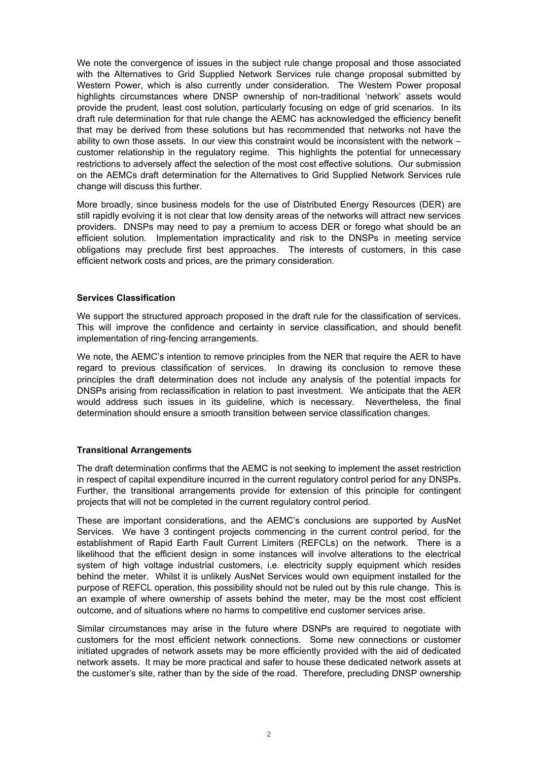We note the convergence of issues in the subject rule change proposal and those associated with the Alternatives to Grid Supplied Network Services rule change proposal submitted by Western Power, which is also currently under consideration. The Western Power proposal highlights circumstances where DNSP ownership of non-traditional 'network' assets would provide the prudent, least cost solution, particularly focusing on edge of grid scenarios. In its draft rule determination for that rule change the AEMC has acknowledged the efficiency benefit that may be derived from these solutions but has recommended that networks not have the ability to own those assets. In our view this constraint would be inconsistent with the network – customer relationship in the regulatory regime. This highlights the potential for unnecessary restrictions to adversely affect the selection of the most cost effective solutions. Our submission on the AEMCs draft determination for the Alternatives to Grid Supplied Network Services rule change will discuss this further.

More broadly, since business models for the use of Distributed Energy Resources (DER) are still rapidly evolving it is not clear that low density areas of the networks will attract new services providers. DNSPs may need to pay a premium to access DER or forego what should be an efficient solution. Implementation impracticality and risk to the DNSPs in meeting service obligations may preclude first best approaches. The interests of customers, in this case efficient network costs and prices, are the primary consideration.

## **Services Classification**

We support the structured approach proposed in the draft rule for the classification of services. This will improve the confidence and certainty in service classification, and should benefit implementation of ring-fencing arrangements.

We note, the AEMC's intention to remove principles from the NER that require the AER to have regard to previous classification of services. In drawing its conclusion to remove these principles the draft determination does not include any analysis of the potential impacts for DNSPs arising from reclassification in relation to past investment. We anticipate that the AER would address such issues in its guideline, which is necessary. Nevertheless, the final determination should ensure a smooth transition between service classification changes.

## **Transitional Arrangements**

The draft determination confirms that the AEMC is not seeking to implement the asset restriction in respect of capital expenditure incurred in the current regulatory control period for any DNSPs. Further, the transitional arrangements provide for extension of this principle for contingent projects that will not be completed in the current regulatory control period.

These are important considerations, and the AEMC's conclusions are supported by AusNet Services. We have 3 contingent projects commencing in the current control period, for the establishment of Rapid Earth Fault Current Limiters (REFCLs) on the network. There is a likelihood that the efficient design in some instances will involve alterations to the electrical system of high voltage industrial customers, i.e. electricity supply equipment which resides behind the meter. Whilst it is unlikely AusNet Services would own equipment installed for the purpose of REFCL operation, this possibility should not be ruled out by this rule change. This is an example of where ownership of assets behind the meter, may be the most cost efficient outcome, and of situations where no harms to competitive end customer services arise.

Similar circumstances may arise in the future where DSNPs are required to negotiate with customers for the most efficient network connections. Some new connections or customer initiated upgrades of network assets may be more efficiently provided with the aid of dedicated network assets. It may be more practical and safer to house these dedicated network assets at the customer's site, rather than by the side of the road. Therefore, precluding DNSP ownership